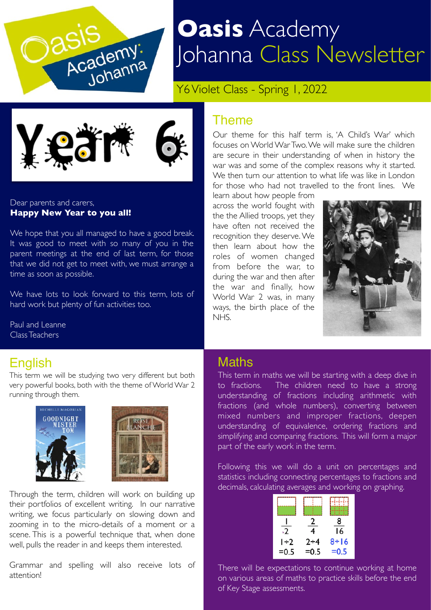

# **Oasis** Academy Johanna Class Newsletter

Y6 Violet Class - Spring 1, 2022



Dear parents and carers, **Happy New Year to you all!** 

We hope that you all managed to have a good break. It was good to meet with so many of you in the parent meetings at the end of last term, for those that we did not get to meet with, we must arrange a time as soon as possible.

We have lots to look forward to this term, lots of hard work but plenty of fun activities too.

Paul and Leanne Class Teachers

### English

This term we will be studying two very different but both very powerful books, both with the theme of World War 2 running through them.





Through the term, children will work on building up their portfolios of excellent writing. In our narrative writing, we focus particularly on slowing down and zooming in to the micro-details of a moment or a scene. This is a powerful technique that, when done well, pulls the reader in and keeps them interested.

Grammar and spelling will also receive lots of attention!

#### **Theme**

Our theme for this half term is, 'A Child's War' which focuses on World War Two. We will make sure the children are secure in their understanding of when in history the war was and some of the complex reasons why it started. We then turn our attention to what life was like in London for those who had not travelled to the front lines. We

learn about how people from across the world fought with the the Allied troops, yet they have often not received the recognition they deserve. We then learn about how the roles of women changed from before the war, to during the war and then after the war and finally, how World War 2 was, in many ways, the birth place of the NHS.



#### **Maths**

This term in maths we will be starting with a deep dive in to fractions. The children need to have a strong understanding of fractions including arithmetic with fractions (and whole numbers), converting between mixed numbers and improper fractions, deepen understanding of equivalence, ordering fractions and simplifying and comparing fractions. This will form a major part of the early work in the term.

Following this we will do a unit on percentages and statistics including connecting percentages to fractions and decimals, calculating averages and working on graphing.

| $\cdot$ 2        | 4                 | 8<br>16          |
|------------------|-------------------|------------------|
| $1+2$<br>$= 0.5$ | $2 + 4$<br>$=0.5$ | $8+16$<br>$=0.5$ |

There will be expectations to continue working at home on various areas of maths to practice skills before the end of Key Stage assessments.